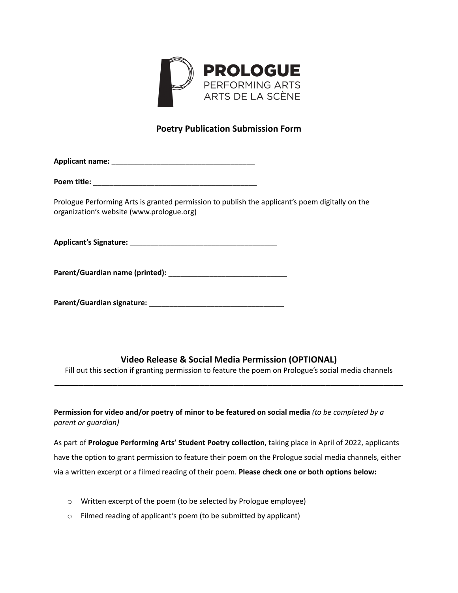

## **Poetry Publication Submission Form**

**Applicant name:** \_\_\_\_\_\_\_\_\_\_\_\_\_\_\_\_\_\_\_\_\_\_\_\_\_\_\_\_\_\_\_\_\_\_\_

**Poem title:**  $\blacksquare$ 

Prologue Performing Arts is granted permission to publish the applicant's poem digitally on the organization's website (www.prologue.org)

**Applicant's Signature:** \_\_\_\_\_\_\_\_\_\_\_\_\_\_\_\_\_\_\_\_\_\_\_\_\_\_\_\_\_\_\_\_\_\_\_\_

**Parent/Guardian name (printed):** \_\_\_\_\_\_\_\_\_\_\_\_\_\_\_\_\_\_\_\_\_\_\_\_\_\_\_\_\_

**Parent/Guardian signature:** \_\_\_\_\_\_\_\_\_\_\_\_\_\_\_\_\_\_\_\_\_\_\_\_\_\_\_\_\_\_\_\_\_

## **Video Release & Social Media Permission (OPTIONAL)**

Fill out this section if granting permission to feature the poem on Prologue's social media channels **\_\_\_\_\_\_\_\_\_\_\_\_\_\_\_\_\_\_\_\_\_\_\_\_\_\_\_\_\_\_\_\_\_\_\_\_\_\_\_\_\_\_\_\_\_\_\_\_\_\_\_\_\_\_\_\_\_\_\_\_\_\_\_\_\_\_\_\_\_\_\_\_**

**Permission for video and/or poetry of minor to be featured on social media** *(to be completed by a parent or guardian)*

As part of **Prologue Performing Arts' Student Poetry collection**, taking place in April of 2022, applicants have the option to grant permission to feature their poem on the Prologue social media channels, either via a written excerpt or a filmed reading of their poem. **Please check one or both options below:**

- o Written excerpt of the poem (to be selected by Prologue employee)
- o Filmed reading of applicant's poem (to be submitted by applicant)